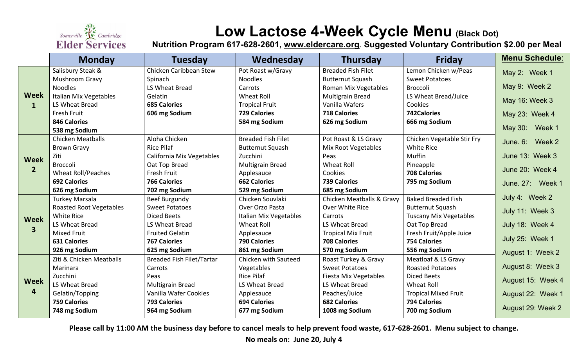

# **Low Lactose 4-Week Cycle Menu (Black Dot)**

**Nutrition Program 617-628-2601, [www.eldercare.org](http://www.eldercare.org/). Suggested Voluntary Contribution \$2.00 per Meal**

|                                        | <b>Monday</b>                  | <b>Tuesday</b>                   | Wednesday                 | <b>Thursday</b>           | <b>Friday</b>                 | <b>Menu Schedule:</b> |
|----------------------------------------|--------------------------------|----------------------------------|---------------------------|---------------------------|-------------------------------|-----------------------|
| <b>Week</b><br>$\mathbf{1}$            | Salisbury Steak &              | Chicken Caribbean Stew           | Pot Roast w/Gravy         | <b>Breaded Fish Filet</b> | Lemon Chicken w/Peas          | May 2: Week 1         |
|                                        | Mushroom Gravy                 | Spinach                          | <b>Noodles</b>            | <b>Butternut Squash</b>   | <b>Sweet Potatoes</b>         |                       |
|                                        | <b>Noodles</b>                 | LS Wheat Bread                   | Carrots                   | Roman Mix Vegetables      | Broccoli                      | May 9: Week 2         |
|                                        | <b>Italian Mix Vegetables</b>  | Gelatin                          | <b>Wheat Roll</b>         | <b>Multigrain Bread</b>   | LS Wheat Bread/Juice          | May 16: Week 3        |
|                                        | LS Wheat Bread                 | <b>685 Calories</b>              | <b>Tropical Fruit</b>     | Vanilla Wafers            | Cookies                       |                       |
|                                        | Fresh Fruit                    | 606 mg Sodium                    | <b>729 Calories</b>       | <b>718 Calories</b>       | 742Calories                   | May 23: Week 4        |
|                                        | <b>846 Calories</b>            |                                  | 584 mg Sodium             | 626 mg Sodium             | 666 mg Sodium                 |                       |
|                                        | 538 mg Sodium                  |                                  |                           |                           |                               | May 30: Week 1        |
| <b>Week</b><br>$\overline{2}$          | <b>Chicken Meatballs</b>       | Aloha Chicken                    | <b>Breaded Fish Filet</b> | Pot Roast & LS Gravy      | Chicken Vegetable Stir Fry    | June, 6: Week 2       |
|                                        | <b>Brown Gravy</b>             | <b>Rice Pilaf</b>                | <b>Butternut Squash</b>   | Mix Root Vegetables       | <b>White Rice</b>             |                       |
|                                        | Ziti                           | California Mix Vegetables        | Zucchini                  | Peas                      | Muffin                        | June 13: Week 3       |
|                                        | Broccoli                       | Oat Top Bread                    | Multigrain Bread          | Wheat Roll                | Pineapple                     | June 20: Week 4       |
|                                        | <b>Wheat Roll/Peaches</b>      | Fresh Fruit                      | Applesauce                | Cookies                   | <b>708 Calories</b>           |                       |
|                                        | <b>692 Calories</b>            | <b>766 Calories</b>              | <b>662 Calories</b>       | <b>739 Calories</b>       | 795 mg Sodium                 | June. 27: Week 1      |
|                                        | 626 mg Sodium                  | 702 mg Sodium                    | 529 mg Sodium             | 685 mg Sodium             |                               |                       |
| <b>Week</b><br>$\overline{\mathbf{3}}$ | <b>Turkey Marsala</b>          | Beef Burgundy                    | Chicken Souvlaki          | Chicken Meatballs & Gravy | <b>Baked Breaded Fish</b>     | July 4: Week 2        |
|                                        | <b>Roasted Root Vegetables</b> | <b>Sweet Potatoes</b>            | Over Orzo Pasta           | Over White Rice           | <b>Butternut Squash</b>       | July 11: Week 3       |
|                                        | White Rice                     | <b>Diced Beets</b>               | Italian Mix Vegetables    | Carrots                   | <b>Tuscany Mix Vegetables</b> |                       |
|                                        | LS Wheat Bread                 | LS Wheat Bread                   | Wheat Roll                | LS Wheat Bread            | Oat Top Bread                 | July 18: Week 4       |
|                                        | <b>Mixed Fruit</b>             | <b>Fruited Gelatin</b>           | Applesauce                | <b>Tropical Mix Fruit</b> | Fresh Fruit/Apple Juice       |                       |
|                                        | <b>631 Calories</b>            | <b>767 Calories</b>              | <b>790 Calories</b>       | <b>708 Calories</b>       | <b>754 Calories</b>           | July 25: Week 1       |
|                                        | 926 mg Sodium                  | 625 mg Sodium                    | 861 mg Sodium             | 570 mg Sodium             | 556 mg Sodium                 | August 1: Week 2      |
| <b>Week</b><br>4                       | Ziti & Chicken Meatballs       | <b>Breaded Fish Filet/Tartar</b> | Chicken with Sauteed      | Roast Turkey & Gravy      | Meatloaf & LS Gravy           |                       |
|                                        | Marinara                       | Carrots                          | Vegetables                | <b>Sweet Potatoes</b>     | <b>Roasted Potatoes</b>       | August 8: Week 3      |
|                                        | Zucchini                       | Peas                             | <b>Rice Pilaf</b>         | Fiesta Mix Vegetables     | <b>Diced Beets</b>            | August 15: Week 4     |
|                                        | LS Wheat Bread                 | <b>Multigrain Bread</b>          | LS Wheat Bread            | LS Wheat Bread            | <b>Wheat Roll</b>             |                       |
|                                        | Gelatin/Topping                | Vanilla Wafer Cookies            | Applesauce                | Peaches/Juice             | <b>Tropical Mixed Fruit</b>   | August 22: Week 1     |
|                                        | <b>759 Calories</b>            | <b>793 Calories</b>              | <b>694 Calories</b>       | <b>682 Calories</b>       | <b>794 Calories</b>           | August 29: Week 2     |
|                                        | 748 mg Sodium                  | 964 mg Sodium                    | 677 mg Sodium             | 1008 mg Sodium            | 700 mg Sodium                 |                       |

**Please call by 11:00 AM the business day before to cancel meals to help prevent food waste, 617-628-2601. Menu subject to change.** 

**No meals on: June 20, July 4**